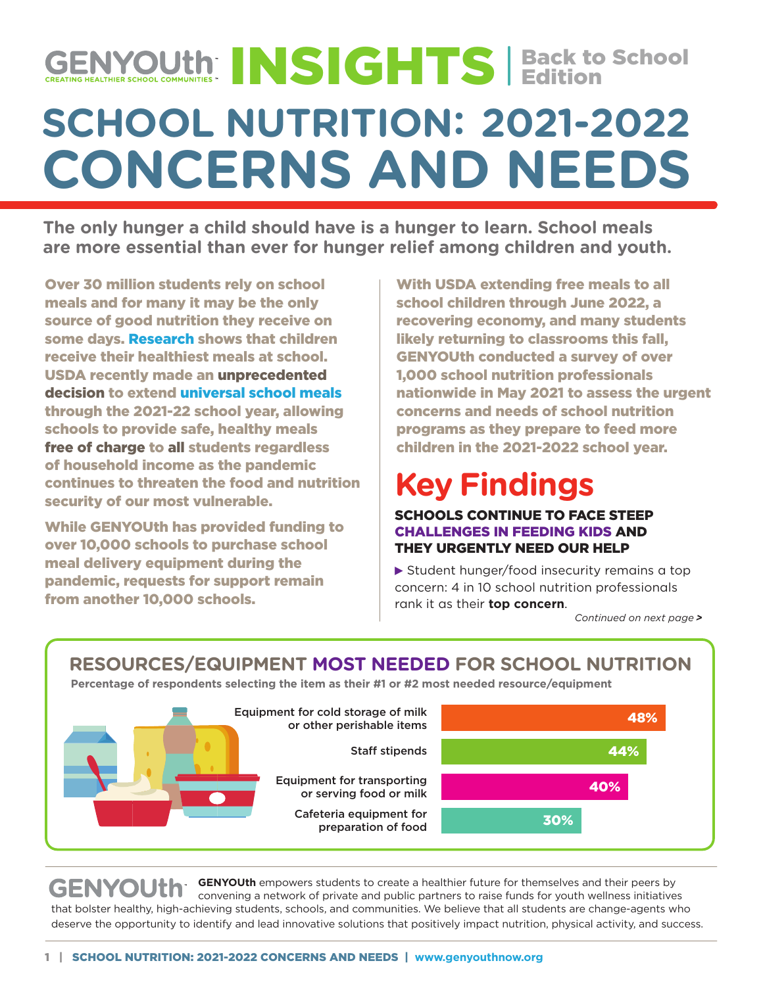# **SCHOOL NUTRITION: 2021-2022 CONCERNS AND NEEDS** INSIGHTS | Back to School Edition

**The only hunger a child should have is a hunger to learn. School meals are more essential than ever for hunger relief among children and youth.**

Over 30 million students rely on school meals and for many it may be the only source of good nutrition they receive on some days. [Research s](https://jamanetwork.com/journals/jamanetworkopen/fullarticle/2778453?utm_source=For_The_Media&utm_medium=referral&utm_campaign=ftm_links&utm_term=040921)hows that children receive their healthiest meals at school. USDA recently made an unprecedented decision to extend [universal school meals](https://www.usda.gov/media/press-releases/2021/04/20/usda-issues-pandemic-flexibilities-schools-and-day-care-facilities) through the 2021-22 school year, allowing schools to provide safe, healthy meals free of charge to all students regardless of household income as the pandemic continues to threaten the food and nutrition security of our most vulnerable.

While GENYOUth has provided funding to over 10,000 schools to purchase school meal delivery equipment during the pandemic, requests for support remain from another 10,000 schools.

With USDA extending free meals to all school children through June 2022, a recovering economy, and many students likely returning to classrooms this fall, GENYOUth conducted a survey of over 1,000 school nutrition professionals nationwide in May 2021 to assess the urgent concerns and needs of school nutrition programs as they prepare to feed more children in the 2021-2022 school year.

# **Key Findings**

#### SCHOOLS CONTINUE TO FACE STEEP CHALLENGES IN FEEDING KIDS AND THEY URGENTLY NEED OUR HELP

▶ Student hunger/food insecurity remains a top concern: 4 in 10 school nutrition professionals rank it as their **top concern**.

*Continued on next page >*

### **RESOURCES/EQUIPMENT MOST NEEDED FOR SCHOOL NUTRITION**

**Percentage of respondents selecting the item as their #1 or #2 most needed resource/equipment**



GENYOUth **EXITY GENYOUth** empowers students to create a healthier future for themselves and their peers by convening a network of private and public partners to raise funds for youth wellness initiatives that bolster healthy, high-achieving students, schools, and communities. We believe that all students are change-agents who deserve the opportunity to identify and lead innovative solutions that positively impact nutrition, physical activity, and success.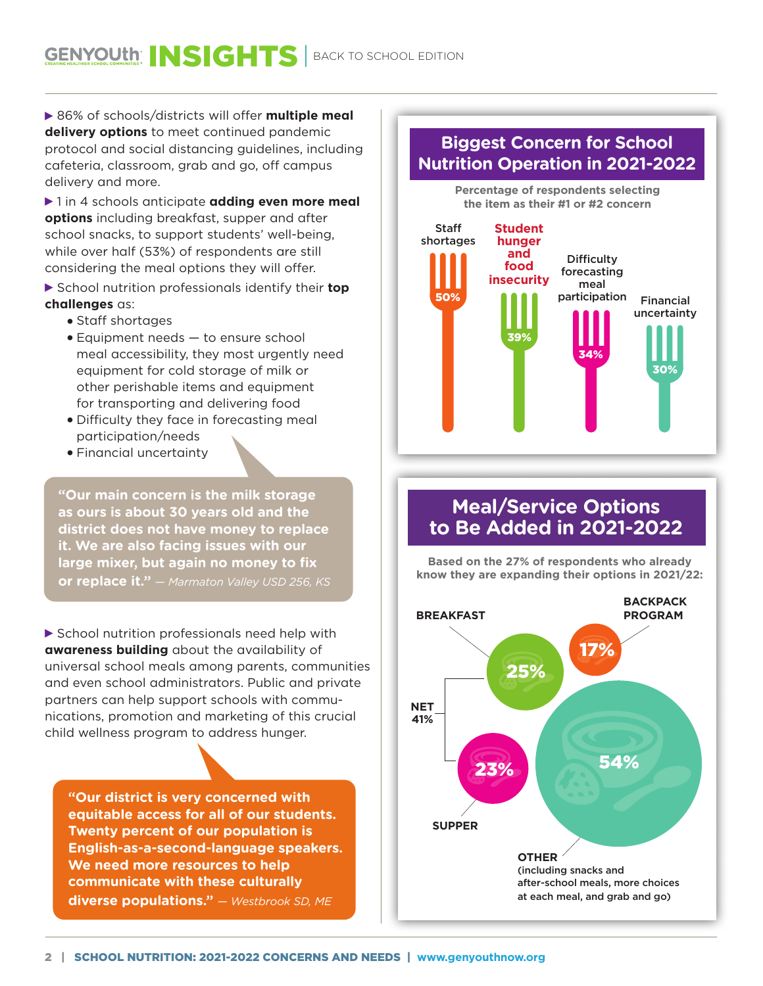▶ 86% of schools/districts will offer **multiple meal delivery options** to meet continued pandemic protocol and social distancing guidelines, including cafeteria, classroom, grab and go, off campus delivery and more.

▶ 1 in 4 schools anticipate **adding even more meal options** including breakfast, supper and after school snacks, to support students' well-being, while over half (53%) of respondents are still considering the meal options they will offer.

 School nutrition professionals identify their **top challenges** as:

- Staff shortages
- Equipment needs to ensure school meal accessibility, they most urgently need equipment for cold storage of milk or other perishable items and equipment for transporting and delivering food
- Difficulty they face in forecasting meal participation/needs
- Financial uncertainty

40% **it. We are also facing issues with our "Our main concern is the milk storage as ours is about 30 years old and the district does not have money to replace large mixer, but again no money to fix or replace it."** *— Marmaton Valley USD 256, KS*

▶ School nutrition professionals need help with **awareness building** about the availability of universal school meals among parents, communities and even school administrators. Public and private partners can help support schools with communications, promotion and marketing of this crucial child wellness program to address hunger.

**"Our district is very concerned with equitable access for all of our students. Twenty percent of our population is English-as-a-second-language speakers. We need more resources to help communicate with these culturally diverse populations."** *— Westbrook SD, ME*

### **Biggest Concern for School Nutrition Operation in 2021-2022**



### **Meal/Service Options to Be Added in 2021-2022**

**Based on the 27% of respondents who already know they are expanding their options in 2021/22:**

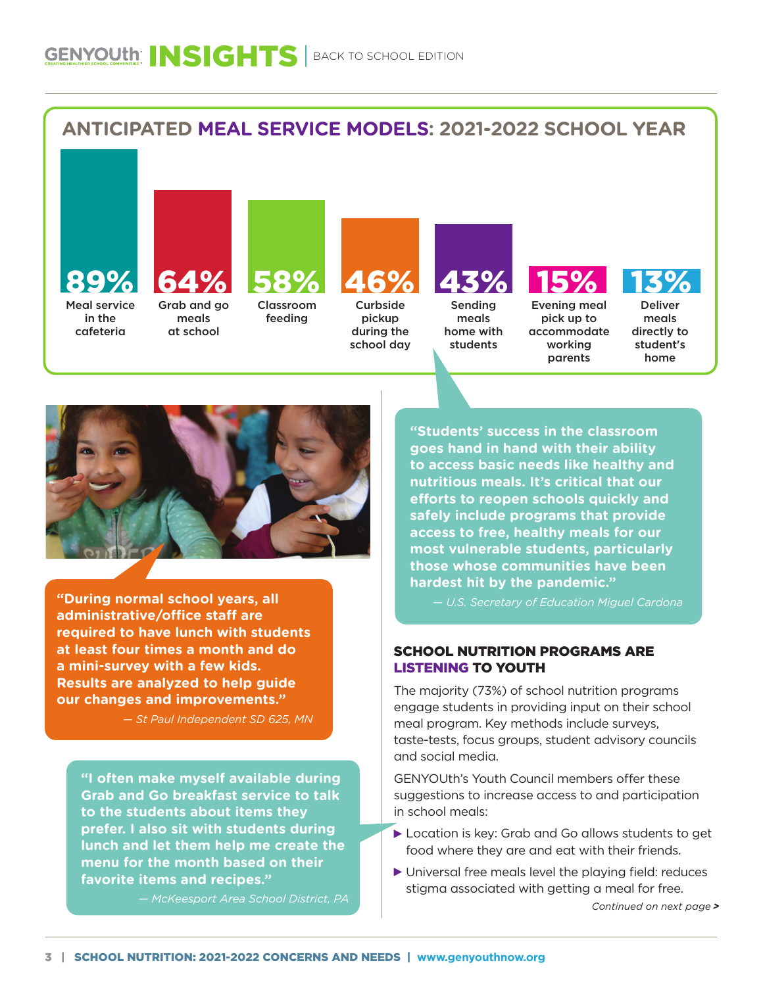



**"During normal school years, all administrative/office staff are required to have lunch with students at least four times a month and do a mini-survey with a few kids. Results are analyzed to help guide our changes and improvements."** 

*— St Paul Independent SD 625, MN*

**"I often make myself available during Grab and Go breakfast service to talk to the students about items they prefer. I also sit with students during lunch and let them help me create the menu for the month based on their favorite items and recipes."** 

*— McKeesport Area School District, PA*

**"Students' success in the classroom goes hand in hand with their ability to access basic needs like healthy and nutritious meals. It's critical that our efforts to reopen schools quickly and safely include programs that provide access to free, healthy meals for our most vulnerable students, particularly those whose communities have been hardest hit by the pandemic."** 

*— U.S. Secretary of Education Miguel Cardona*

#### SCHOOL NUTRITION PROGRAMS ARE LISTENING TO YOUTH

The majority (73%) of school nutrition programs engage students in providing input on their school meal program. Key methods include surveys, taste-tests, focus groups, student advisory councils and social media.

GENYOUth's Youth Council members offer these suggestions to increase access to and participation in school meals:

- Location is key: Grab and Go allows students to get food where they are and eat with their friends.
- Universal free meals level the playing field: reduces stigma associated with getting a meal for free.

*Continued on next page >*